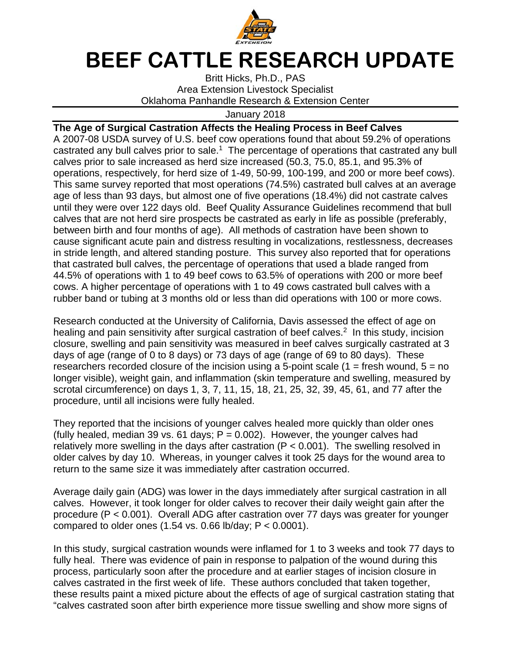

## **BEEF CATTLE RESEARCH UPDATE**

Britt Hicks, Ph.D., PAS Area Extension Livestock Specialist Oklahoma Panhandle Research & Extension Center

January 2018

**The Age of Surgical Castration Affects the Healing Process in Beef Calves**  A 2007-08 USDA survey of U.S. beef cow operations found that about 59.2% of operations castrated any bull calves prior to sale.<sup>1</sup> The percentage of operations that castrated any bull calves prior to sale increased as herd size increased (50.3, 75.0, 85.1, and 95.3% of operations, respectively, for herd size of 1-49, 50-99, 100-199, and 200 or more beef cows). This same survey reported that most operations (74.5%) castrated bull calves at an average age of less than 93 days, but almost one of five operations (18.4%) did not castrate calves until they were over 122 days old. Beef Quality Assurance Guidelines recommend that bull calves that are not herd sire prospects be castrated as early in life as possible (preferably, between birth and four months of age). All methods of castration have been shown to cause significant acute pain and distress resulting in vocalizations, restlessness, decreases in stride length, and altered standing posture. This survey also reported that for operations that castrated bull calves, the percentage of operations that used a blade ranged from 44.5% of operations with 1 to 49 beef cows to 63.5% of operations with 200 or more beef cows. A higher percentage of operations with 1 to 49 cows castrated bull calves with a rubber band or tubing at 3 months old or less than did operations with 100 or more cows.

Research conducted at the University of California, Davis assessed the effect of age on healing and pain sensitivity after surgical castration of beef calves.<sup>2</sup> In this study, incision closure, swelling and pain sensitivity was measured in beef calves surgically castrated at 3 days of age (range of 0 to 8 days) or 73 days of age (range of 69 to 80 days). These researchers recorded closure of the incision using a 5-point scale  $(1 =$  fresh wound,  $5 =$  no longer visible), weight gain, and inflammation (skin temperature and swelling, measured by scrotal circumference) on days 1, 3, 7, 11, 15, 18, 21, 25, 32, 39, 45, 61, and 77 after the procedure, until all incisions were fully healed.

They reported that the incisions of younger calves healed more quickly than older ones (fully healed, median 39 vs. 61 days;  $P = 0.002$ ). However, the younger calves had relatively more swelling in the days after castration  $(P < 0.001)$ . The swelling resolved in older calves by day 10. Whereas, in younger calves it took 25 days for the wound area to return to the same size it was immediately after castration occurred.

Average daily gain (ADG) was lower in the days immediately after surgical castration in all calves. However, it took longer for older calves to recover their daily weight gain after the procedure (P < 0.001). Overall ADG after castration over 77 days was greater for younger compared to older ones  $(1.54 \text{ vs. } 0.66 \text{ lb/day}; P < 0.0001).$ 

In this study, surgical castration wounds were inflamed for 1 to 3 weeks and took 77 days to fully heal. There was evidence of pain in response to palpation of the wound during this process, particularly soon after the procedure and at earlier stages of incision closure in calves castrated in the first week of life. These authors concluded that taken together, these results paint a mixed picture about the effects of age of surgical castration stating that "calves castrated soon after birth experience more tissue swelling and show more signs of